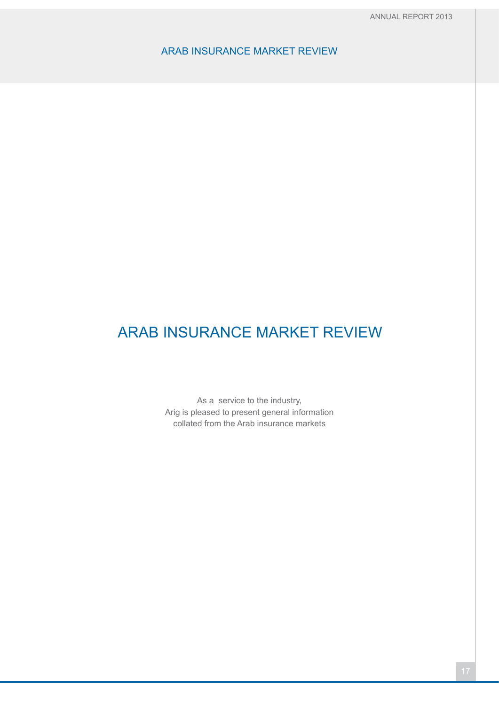# ARAB INSURANCE MARKET REVIEW

As a service to the industry, Arig is pleased to present general information collated from the Arab insurance markets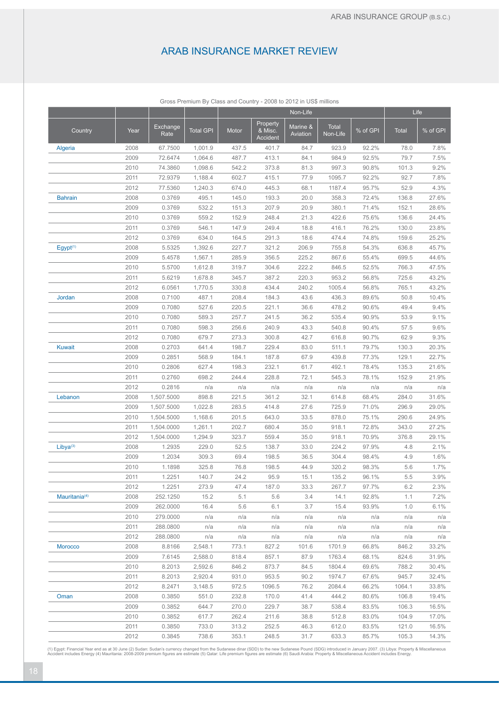|                           |      |                  |                  |       |                                 | Non-Life             |                   |          |              | Life     |
|---------------------------|------|------------------|------------------|-------|---------------------------------|----------------------|-------------------|----------|--------------|----------|
| Country                   | Year | Exchange<br>Rate | <b>Total GPI</b> | Motor | Property<br>& Misc.<br>Accident | Marine &<br>Aviation | Total<br>Non-Life | % of GPI | <b>Total</b> | % of GPI |
| Algeria                   | 2008 | 67.7500          | 1,001.9          | 437.5 | 401.7                           | 84.7                 | 923.9             | 92.2%    | 78.0         | 7.8%     |
|                           | 2009 | 72.6474          | 1,064.6          | 487.7 | 413.1                           | 84.1                 | 984.9             | 92.5%    | 79.7         | 7.5%     |
|                           | 2010 | 74.3860          | 1,098.6          | 542.2 | 373.8                           | 81.3                 | 997.3             | 90.8%    | 101.3        | 9.2%     |
|                           | 2011 | 72.9379          | 1,188.4          | 602.7 | 415.1                           | 77.9                 | 1095.7            | 92.2%    | 92.7         | 7.8%     |
|                           | 2012 | 77.5360          | 1,240.3          | 674.0 | 445.3                           | 68.1                 | 1187.4            | 95.7%    | 52.9         | 4.3%     |
| <b>Bahrain</b>            | 2008 | 0.3769           | 495.1            | 145.0 | 193.3                           | 20.0                 | 358.3             | 72.4%    | 136.8        | 27.6%    |
|                           | 2009 | 0.3769           | 532.2            | 151.3 | 207.9                           | 20.9                 | 380.1             | 71.4%    | 152.1        | 28.6%    |
|                           | 2010 | 0.3769           | 559.2            | 152.9 | 248.4                           | 21.3                 | 422.6             | 75.6%    | 136.6        | 24.4%    |
|                           | 2011 | 0.3769           | 546.1            | 147.9 | 249.4                           | 18.8                 | 416.1             | 76.2%    | 130.0        | 23.8%    |
|                           | 2012 | 0.3769           | 634.0            | 164.5 | 291.3                           | 18.6                 | 474.4             | 74.8%    | 159.6        | 25.2%    |
| Egypt <sup>(1)</sup>      | 2008 | 5.5325           | 1,392.6          | 227.7 | 321.2                           | 206.9                | 755.8             | 54.3%    | 636.8        | 45.7%    |
|                           | 2009 | 5.4578           | 1,567.1          | 285.9 | 356.5                           | 225.2                | 867.6             | 55.4%    | 699.5        | 44.6%    |
|                           | 2010 | 5.5700           | 1,612.8          | 319.7 | 304.6                           | 222.2                | 846.5             | 52.5%    | 766.3        | 47.5%    |
|                           | 2011 | 5.6219           | 1,678.8          | 345.7 | 387.2                           | 220.3                | 953.2             | 56.8%    | 725.6        | 43.2%    |
|                           | 2012 | 6.0561           | 1,770.5          | 330.8 | 434.4                           | 240.2                | 1005.4            | 56.8%    | 765.1        | 43.2%    |
| Jordan                    | 2008 | 0.7100           | 487.1            | 208.4 | 184.3                           | 43.6                 | 436.3             | 89.6%    | 50.8         | 10.4%    |
|                           | 2009 | 0.7080           | 527.6            | 220.5 | 221.1                           | 36.6                 | 478.2             | 90.6%    | 49.4         | 9.4%     |
|                           | 2010 | 0.7080           | 589.3            | 257.7 | 241.5                           | 36.2                 | 535.4             | 90.9%    | 53.9         | 9.1%     |
|                           | 2011 | 0.7080           | 598.3            | 256.6 | 240.9                           | 43.3                 | 540.8             | 90.4%    | 57.5         | 9.6%     |
|                           | 2012 | 0.7080           | 679.7            | 273.3 | 300.8                           | 42.7                 | 616.8             | 90.7%    | 62.9         | 9.3%     |
| <b>Kuwait</b>             | 2008 | 0.2703           | 641.4            | 198.7 | 229.4                           | 83.0                 | 511.1             | 79.7%    | 130.3        | 20.3%    |
|                           | 2009 | 0.2851           | 568.9            | 184.1 | 187.8                           | 67.9                 | 439.8             | 77.3%    | 129.1        | 22.7%    |
|                           | 2010 | 0.2806           | 627.4            | 198.3 | 232.1                           | 61.7                 | 492.1             | 78.4%    | 135.3        | 21.6%    |
|                           | 2011 | 0.2760           | 698.2            | 244.4 | 228.8                           | 72.1                 | 545.3             | 78.1%    | 152.9        | 21.9%    |
|                           | 2012 | 0.2816           | n/a              | n/a   | n/a                             | n/a                  | n/a               | n/a      | n/a          | n/a      |
| Lebanon                   | 2008 | 1,507.5000       | 898.8            | 221.5 | 361.2                           | 32.1                 | 614.8             | 68.4%    | 284.0        | 31.6%    |
|                           | 2009 | 1,507.5000       | 1,022.8          | 283.5 | 414.8                           | 27.6                 | 725.9             | 71.0%    | 296.9        | 29.0%    |
|                           | 2010 | 1,504.5000       | 1,168.6          | 201.5 | 643.0                           | 33.5                 | 878.0             | 75.1%    | 290.6        | 24.9%    |
|                           | 2011 | 1,504.0000       | 1,261.1          | 202.7 | 680.4                           | 35.0                 | 918.1             | 72.8%    | 343.0        | 27.2%    |
|                           | 2012 | 1,504.0000       | 1,294.9          | 323.7 | 559.4                           | 35.0                 | 918.1             | 70.9%    | 376.8        | 29.1%    |
| Libya <sup>(3)</sup>      | 2008 | 1.2935           | 229.0            | 52.5  | 138.7                           | 33.0                 | 224.2             | 97.9%    | 4.8          | 2.1%     |
|                           | 2009 | 1.2034           | 309.3            | 69.4  | 198.5                           | 36.5                 | 304.4             | 98.4%    | 4.9          | 1.6%     |
|                           | 2010 | 1.1898           | 325.8            | 76.8  | 198.5                           | 44.9                 | 320.2             | 98.3%    | 5.6          | 1.7%     |
|                           | 2011 | 1.2251           | 140.7            | 24.2  | 95.9                            | 15.1                 | 135.2             | 96.1%    | 5.5          | 3.9%     |
|                           | 2012 | 1.2251           | 273.9            | 47.4  | 187.0                           | 33.3                 | 267.7             | 97.7%    | 6.2          | 2.3%     |
| Mauritania <sup>(4)</sup> | 2008 | 252.1250         | 15.2             | 5.1   | 5.6                             | 3.4                  | 14.1              | 92.8%    | 1.1          | 7.2%     |
|                           | 2009 | 262.0000         | 16.4             | 5.6   | 6.1                             | 3.7                  | 15.4              | 93.9%    | 1.0          | 6.1%     |
|                           | 2010 | 279.0000         | n/a              | n/a   | n/a                             | n/a                  | n/a               | n/a      | n/a          | n/a      |
|                           | 2011 | 288.0800         | n/a              | n/a   | n/a                             | n/a                  | n/a               | n/a      | n/a          | n/a      |
|                           | 2012 | 288.0800         | n/a              | n/a   | n/a                             | n/a                  | n/a               | n/a      | n/a          | n/a      |
| <b>Morocco</b>            | 2008 | 8.8166           | 2,548.1          | 773.1 | 827.2                           | 101.6                | 1701.9            | 66.8%    | 846.2        | 33.2%    |
|                           | 2009 | 7.6145           | 2,588.0          | 818.4 | 857.1                           | 87.9                 | 1763.4            | 68.1%    | 824.6        | 31.9%    |
|                           | 2010 | 8.2013           | 2,592.6          | 846.2 | 873.7                           | 84.5                 | 1804.4            | 69.6%    | 788.2        | 30.4%    |
|                           | 2011 | 8.2013           | 2,920.4          | 931.0 | 953.5                           | 90.2                 | 1974.7            | 67.6%    | 945.7        | 32.4%    |
|                           | 2012 | 8.2471           | 3,148.5          | 972.5 | 1096.5                          | 76.2                 | 2084.4            | 66.2%    | 1064.1       | 33.8%    |
| Oman                      | 2008 | 0.3850           | 551.0            | 232.8 | 170.0                           | 41.4                 | 444.2             | 80.6%    | 106.8        | 19.4%    |
|                           | 2009 | 0.3852           | 644.7            | 270.0 | 229.7                           | 38.7                 | 538.4             | 83.5%    | 106.3        | 16.5%    |
|                           | 2010 | 0.3852           | 617.7            | 262.4 | 211.6                           | 38.8                 | 512.8             | 83.0%    | 104.9        | 17.0%    |
|                           | 2011 | 0.3850           | 733.0            | 313.2 | 252.5                           | 46.3                 | 612.0             | 83.5%    | 121.0        | 16.5%    |
|                           | 2012 | 0.3845           | 738.6            | 353.1 | 248.5                           | 31.7                 | 633.3             | 85.7%    | 105.3        | 14.3%    |
|                           |      |                  |                  |       |                                 |                      |                   |          |              |          |

Gross Premium By Class and Country - 2008 to 2012 in US\$ millions

(1) Egypt: Financial Year end as at 30 June (2) Sudan: Sudan's currency changed from the Sudanese dinar (SDD) to the new Sudanese Pound (SDG) introduced in January 2007. (3) Libya: Property & Miscellaneous<br>Accident include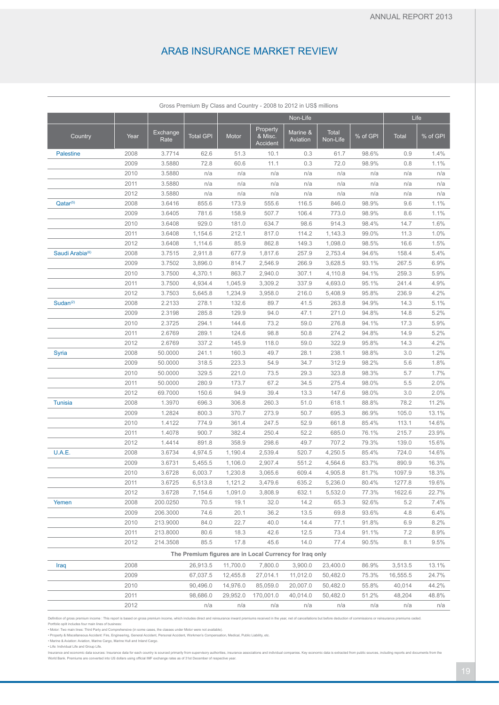|                             |      |                  |                  |          | Gross Premium By Class and Country - 2008 to 2012 in US\$ millions |                      |                   |          |              |          |
|-----------------------------|------|------------------|------------------|----------|--------------------------------------------------------------------|----------------------|-------------------|----------|--------------|----------|
|                             |      |                  |                  |          |                                                                    | Non-Life             |                   |          | Life         |          |
| Country                     | Year | Exchange<br>Rate | <b>Total GPI</b> | Motor    | Property<br>& Misc.<br>Accident                                    | Marine &<br>Aviation | Total<br>Non-Life | % of GPI | <b>Total</b> | % of GPI |
| <b>Palestine</b>            | 2008 | 3.7714           | 62.6             | 51.3     | 10.1                                                               | 0.3                  | 61.7              | 98.6%    | 0.9          | 1.4%     |
|                             | 2009 | 3.5880           | 72.8             | 60.6     | 11.1                                                               | 0.3                  | 72.0              | 98.9%    | 0.8          | 1.1%     |
|                             | 2010 | 3.5880           | n/a              | n/a      | n/a                                                                | n/a                  | n/a               | n/a      | n/a          | n/a      |
|                             | 2011 | 3.5880           | n/a              | n/a      | n/a                                                                | n/a                  | n/a               | n/a      | n/a          | n/a      |
|                             | 2012 | 3.5880           | n/a              | n/a      | n/a                                                                | n/a                  | n/a               | n/a      | n/a          | n/a      |
| Qatar <sup>(5)</sup>        | 2008 | 3.6416           | 855.6            | 173.9    | 555.6                                                              | 116.5                | 846.0             | 98.9%    | 9.6          | 1.1%     |
|                             | 2009 | 3.6405           | 781.6            | 158.9    | 507.7                                                              | 106.4                | 773.0             | 98.9%    | 8.6          | 1.1%     |
|                             | 2010 | 3.6408           | 929.0            | 181.0    | 634.7                                                              | 98.6                 | 914.3             | 98.4%    | 14.7         | 1.6%     |
|                             | 2011 | 3.6408           | 1,154.6          | 212.1    | 817.0                                                              | 114.2                | 1,143.3           | 99.0%    | 11.3         | 1.0%     |
|                             | 2012 | 3.6408           | 1,114.6          | 85.9     | 862.8                                                              | 149.3                | 1,098.0           | 98.5%    | 16.6         | 1.5%     |
| Saudi Arabia <sup>(6)</sup> | 2008 | 3.7515           | 2,911.8          | 677.9    | 1,817.6                                                            | 257.9                | 2,753.4           | 94.6%    | 158.4        | 5.4%     |
|                             | 2009 | 3.7502           | 3,896.0          | 814.7    | 2,546.9                                                            | 266.9                | 3,628.5           | 93.1%    | 267.5        | 6.9%     |
|                             | 2010 | 3.7500           | 4,370.1          | 863.7    | 2,940.0                                                            | 307.1                | 4,110.8           | 94.1%    | 259.3        | 5.9%     |
|                             | 2011 | 3.7500           | 4,934.4          | 1,045.9  | 3,309.2                                                            | 337.9                | 4,693.0           | 95.1%    | 241.4        | 4.9%     |
|                             | 2012 | 3.7503           | 5,645.8          | 1,234.9  | 3,958.0                                                            | 216.0                | 5,408.9           | 95.8%    | 236.9        | 4.2%     |
| Sudan <sup>(2)</sup>        | 2008 | 2.2133           | 278.1            | 132.6    | 89.7                                                               | 41.5                 | 263.8             | 94.9%    | 14.3         | 5.1%     |
|                             | 2009 | 2.3198           | 285.8            | 129.9    | 94.0                                                               | 47.1                 | 271.0             | 94.8%    | 14.8         | 5.2%     |
|                             | 2010 | 2.3725           | 294.1            | 144.6    | 73.2                                                               | 59.0                 | 276.8             | 94.1%    | 17.3         | 5.9%     |
|                             | 2011 | 2.6769           | 289.1            | 124.6    | 98.8                                                               | 50.8                 | 274.2             | 94.8%    | 14.9         | 5.2%     |
|                             | 2012 | 2.6769           | 337.2            | 145.9    | 118.0                                                              | 59.0                 | 322.9             | 95.8%    | 14.3         | 4.2%     |
| Syria                       | 2008 | 50.0000          | 241.1            | 160.3    | 49.7                                                               | 28.1                 | 238.1             | 98.8%    | 3.0          | 1.2%     |
|                             | 2009 | 50.0000          | 318.5            | 223.3    | 54.9                                                               | 34.7                 | 312.9             | 98.2%    | 5.6          | 1.8%     |
|                             | 2010 | 50.0000          | 329.5            | 221.0    | 73.5                                                               | 29.3                 | 323.8             | 98.3%    | 5.7          | 1.7%     |
|                             | 2011 | 50.0000          | 280.9            | 173.7    | 67.2                                                               | 34.5                 | 275.4             | 98.0%    | 5.5          | 2.0%     |
|                             | 2012 | 69.7000          | 150.6            | 94.9     | 39.4                                                               | 13.3                 | 147.6             | 98.0%    | 3.0          | 2.0%     |
| <b>Tunisia</b>              | 2008 | 1.3970           | 696.3            | 306.8    | 260.3                                                              | 51.0                 | 618.1             | 88.8%    | 78.2         | 11.2%    |
|                             | 2009 | 1.2824           | 800.3            | 370.7    | 273.9                                                              | 50.7                 | 695.3             | 86.9%    | 105.0        | 13.1%    |
|                             | 2010 | 1.4122           | 774.9            | 361.4    | 247.5                                                              | 52.9                 | 661.8             | 85.4%    | 113.1        | 14.6%    |
|                             | 2011 | 1.4078           | 900.7            | 382.4    | 250.4                                                              | 52.2                 | 685.0             | 76.1%    | 215.7        | 23.9%    |
|                             | 2012 | 1.4414           | 891.8            | 358.9    | 298.6                                                              | 49.7                 | 707.2             | 79.3%    | 139.0        | 15.6%    |
| U.A.E.                      | 2008 | 3.6734           | 4,974.5          | 1,190.4  | 2,539.4                                                            | 520.7                | 4,250.5           | 85.4%    | 724.0        | 14.6%    |
|                             | 2009 | 3.6731           | 5,455.5          | 1,106.0  | 2,907.4                                                            | 551.2                | 4,564.6           | 83.7%    | 890.9        | 16.3%    |
|                             | 2010 | 3.6728           | 6,003.7          | 1,230.8  | 3,065.6                                                            | 609.4                | 4,905.8           | 81.7%    | 1097.9       | 18.3%    |
|                             | 2011 | 3.6725           | 6,513.8          | 1,121.2  | 3,479.6                                                            | 635.2                | 5,236.0           | 80.4%    | 1277.8       | 19.6%    |
|                             | 2012 | 3.6728           | 7,154.6          | 1,091.0  | 3,808.9                                                            | 632.1                | 5,532.0           | 77.3%    | 1622.6       | 22.7%    |
| Yemen                       | 2008 | 200.0250         | 70.5             | 19.1     | 32.0                                                               | 14.2                 | 65.3              | 92.6%    | 5.2          | 7.4%     |
|                             | 2009 | 206.3000         | 74.6             | 20.1     | 36.2                                                               | 13.5                 | 69.8              | 93.6%    | 4.8          | 6.4%     |
|                             | 2010 | 213.9000         | 84.0             | 22.7     | 40.0                                                               | 14.4                 | 77.1              | 91.8%    | 6.9          | 8.2%     |
|                             | 2011 | 213.8000         | 80.6             | 18.3     | 42.6                                                               | 12.5                 | 73.4              | 91.1%    | 7.2          | 8.9%     |
|                             | 2012 | 214.3508         | 85.5             | 17.8     | 45.6                                                               | 14.0                 | 77.4              | 90.5%    | 8.1          | 9.5%     |
|                             |      |                  |                  |          | The Premium figures are in Local Currency for Iraq only            |                      |                   |          |              |          |
| Iraq                        | 2008 |                  | 26,913.5         | 11,700.0 | 7,800.0                                                            | 3,900.0              | 23,400.0          | 86.9%    | 3,513.5      | 13.1%    |
|                             | 2009 |                  | 67,037.5         | 12,455.8 | 27,014.1                                                           | 11,012.0             | 50,482.0          | 75.3%    | 16,555.5     | 24.7%    |
|                             | 2010 |                  | 90,496.0         | 14,976.0 | 85,059.0                                                           | 20,007.0             | 50,482.0          | 55.8%    | 40,014       | 44.2%    |
|                             | 2011 |                  | 98,686.0         | 29,952.0 | 170,001.0                                                          | 40,014.0             | 50,482.0          | 51.2%    | 48,204       | 48.8%    |
|                             | 2012 |                  | n/a              | n/a      | n/a                                                                | n/a                  | n/a               | n/a      | n/a          | n/a      |

Definition of gross premium income : This report is based on gross premium income, which includes direct and reinsurance inward premiums received in the year, net of cancellations but before deduction of commissions or rei

Portfolio split includes four main lines of business:<br>• Motor: Two main lines: Third Party and Comprehensive (in some cases, the classes under Motor were not available).<br>• Property & Miscellaneous Accident: Fire, Engineeri

Insurance and economic data sources: Insurance data for each country is sourced primarily from supervisory authorities, insurance associations and individual companies. Key economic data is extracted from public sources, i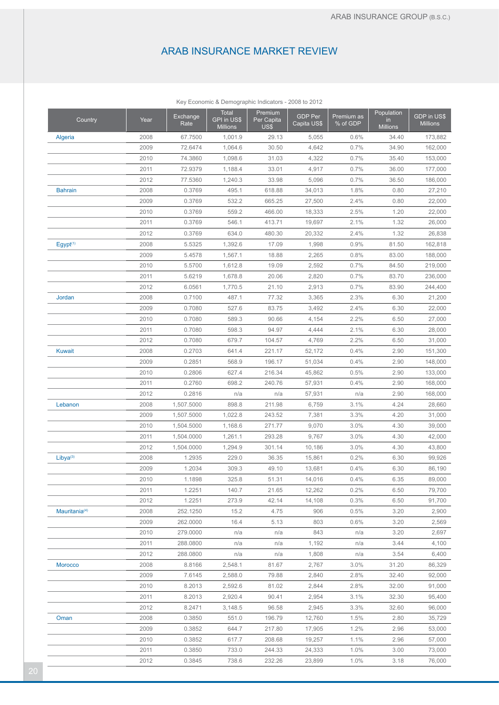|                           |      |                  | Key Economic & Demographic Indicators - 2008 to 2012 |                               |                               |                        |                                      |                                |
|---------------------------|------|------------------|------------------------------------------------------|-------------------------------|-------------------------------|------------------------|--------------------------------------|--------------------------------|
| Country                   | Year | Exchange<br>Rate | Total<br>GPI in US\$<br><b>Millions</b>              | Premium<br>Per Capita<br>US\$ | <b>GDP Per</b><br>Capita US\$ | Premium as<br>% of GDP | Population<br>in.<br><b>Millions</b> | GDP in US\$<br><b>Millions</b> |
| <b>Algeria</b>            | 2008 | 67.7500          | 1,001.9                                              | 29.13                         | 5,055                         | 0.6%                   | 34.40                                | 173,882                        |
|                           | 2009 | 72.6474          | 1,064.6                                              | 30.50                         | 4,642                         | 0.7%                   | 34.90                                | 162,000                        |
|                           | 2010 | 74.3860          | 1,098.6                                              | 31.03                         | 4,322                         | 0.7%                   | 35.40                                | 153,000                        |
|                           | 2011 | 72.9379          | 1,188.4                                              | 33.01                         | 4,917                         | 0.7%                   | 36.00                                | 177,000                        |
|                           | 2012 | 77.5360          | 1,240.3                                              | 33.98                         | 5,096                         | 0.7%                   | 36.50                                | 186,000                        |
| <b>Bahrain</b>            | 2008 | 0.3769           | 495.1                                                | 618.88                        | 34,013                        | 1.8%                   | 0.80                                 | 27,210                         |
|                           | 2009 | 0.3769           | 532.2                                                | 665.25                        | 27,500                        | 2.4%                   | 0.80                                 | 22,000                         |
|                           | 2010 | 0.3769           | 559.2                                                | 466.00                        | 18,333                        | 2.5%                   | 1.20                                 | 22,000                         |
|                           | 2011 | 0.3769           | 546.1                                                | 413.71                        | 19,697                        | 2.1%                   | 1.32                                 | 26,000                         |
|                           | 2012 | 0.3769           | 634.0                                                | 480.30                        | 20,332                        | 2.4%                   | 1.32                                 | 26,838                         |
| Egypt <sup>(1)</sup>      | 2008 | 5.5325           | 1,392.6                                              | 17.09                         | 1,998                         | 0.9%                   | 81.50                                | 162,818                        |
|                           | 2009 | 5.4578           | 1,567.1                                              | 18.88                         | 2,265                         | 0.8%                   | 83.00                                | 188,000                        |
|                           | 2010 | 5.5700           | 1,612.8                                              | 19.09                         | 2,592                         | 0.7%                   | 84.50                                | 219,000                        |
|                           | 2011 | 5.6219           | 1,678.8                                              | 20.06                         | 2,820                         | 0.7%                   | 83.70                                | 236,000                        |
|                           | 2012 | 6.0561           | 1,770.5                                              | 21.10                         | 2,913                         | 0.7%                   | 83.90                                | 244,400                        |
| Jordan                    | 2008 | 0.7100           | 487.1                                                | 77.32                         | 3,365                         | 2.3%                   | 6.30                                 | 21,200                         |
|                           | 2009 | 0.7080           | 527.6                                                | 83.75                         | 3,492                         | 2.4%                   | 6.30                                 | 22,000                         |
|                           | 2010 | 0.7080           | 589.3                                                | 90.66                         | 4,154                         | 2.2%                   | 6.50                                 | 27,000                         |
|                           | 2011 | 0.7080           | 598.3                                                | 94.97                         | 4,444                         | 2.1%                   | 6.30                                 | 28,000                         |
|                           | 2012 | 0.7080           | 679.7                                                | 104.57                        | 4,769                         | 2.2%                   | 6.50                                 | 31,000                         |
| <b>Kuwait</b>             | 2008 | 0.2703           | 641.4                                                | 221.17                        | 52,172                        | 0.4%                   | 2.90                                 | 151,300                        |
|                           | 2009 | 0.2851           | 568.9                                                | 196.17                        | 51,034                        | 0.4%                   | 2.90                                 | 148,000                        |
|                           | 2010 | 0.2806           | 627.4                                                | 216.34                        | 45,862                        | 0.5%                   | 2.90                                 | 133,000                        |
|                           | 2011 | 0.2760           | 698.2                                                | 240.76                        | 57,931                        | 0.4%                   | 2.90                                 | 168,000                        |
|                           | 2012 | 0.2816           | n/a                                                  | n/a                           | 57,931                        | n/a                    | 2.90                                 | 168,000                        |
| Lebanon                   | 2008 | 1,507.5000       | 898.8                                                | 211.98                        | 6,759                         | 3.1%                   | 4.24                                 | 28,660                         |
|                           | 2009 | 1,507.5000       | 1,022.8                                              | 243.52                        | 7,381                         | 3.3%                   | 4.20                                 | 31,000                         |
|                           | 2010 | 1,504.5000       | 1,168.6                                              | 271.77                        | 9,070                         | 3.0%                   | 4.30                                 | 39,000                         |
|                           | 2011 | 1,504.0000       | 1,261.1                                              | 293.28                        | 9,767                         | 3.0%                   | 4.30                                 | 42,000                         |
|                           | 2012 | 1,504.0000       | 1,294.9                                              | 301.14                        | 10,186                        | 3.0%                   | 4.30                                 | 43,800                         |
| Libya <sup>(3)</sup>      | 2008 | 1.2935           | 229.0                                                | 36.35                         | 15,861                        | 0.2%                   | 6.30                                 | 99,926                         |
|                           | 2009 | 1.2034           | 309.3                                                | 49.10                         | 13,681                        | 0.4%                   | 6.30                                 | 86,190                         |
|                           | 2010 | 1.1898           | 325.8                                                | 51.31                         | 14,016                        | $0.4\%$                | 6.35                                 | 89,000                         |
|                           | 2011 | 1.2251           | 140.7                                                | 21.65                         | 12,262                        | 0.2%                   | 6.50                                 | 79,700                         |
|                           | 2012 | 1.2251           | 273.9                                                | 42.14                         | 14,108                        | 0.3%                   | 6.50                                 | 91,700                         |
| Mauritania <sup>(4)</sup> | 2008 | 252.1250         | 15.2                                                 | 4.75                          | 906                           | 0.5%                   | 3.20                                 | 2,900                          |
|                           | 2009 | 262.0000         | 16.4                                                 | 5.13                          | 803                           | 0.6%                   | 3.20                                 | 2,569                          |
|                           | 2010 | 279.0000         | n/a                                                  | n/a                           | 843                           | n/a                    | 3.20                                 | 2,697                          |
|                           | 2011 | 288.0800         | n/a                                                  | n/a                           | 1,192                         | n/a                    | 3.44                                 | 4,100                          |
|                           | 2012 | 288.0800         | n/a                                                  | n/a                           | 1,808                         | n/a                    | 3.54                                 | 6,400                          |
| Morocco                   | 2008 | 8.8166           | 2,548.1                                              | 81.67                         | 2,767                         | 3.0%                   | 31.20                                | 86,329                         |
|                           | 2009 | 7.6145           | 2,588.0                                              | 79.88                         | 2,840                         | 2.8%                   | 32.40                                | 92,000                         |
|                           | 2010 | 8.2013           | 2,592.6                                              | 81.02                         | 2,844                         | 2.8%                   | 32.00                                | 91,000                         |
|                           | 2011 | 8.2013           | 2,920.4                                              | 90.41                         | 2,954                         | 3.1%                   | 32.30                                | 95,400                         |
|                           | 2012 | 8.2471           | 3,148.5                                              | 96.58                         | 2,945                         | 3.3%                   | 32.60                                | 96,000                         |
| Oman                      | 2008 | 0.3850           | 551.0                                                | 196.79                        | 12,760                        | 1.5%                   | 2.80                                 | 35,729                         |
|                           | 2009 | 0.3852           | 644.7                                                | 217.80                        | 17,905                        | 1.2%                   | 2.96                                 | 53,000                         |
|                           | 2010 | 0.3852           | 617.7                                                | 208.68                        | 19,257                        | 1.1%                   | 2.96                                 | 57,000                         |
|                           | 2011 | 0.3850           | 733.0                                                | 244.33                        | 24,333                        | 1.0%                   | 3.00                                 | 73,000                         |
|                           | 2012 | 0.3845           | 738.6                                                | 232.26                        | 23,899                        | 1.0%                   | 3.18                                 | 76,000                         |
|                           |      |                  |                                                      |                               |                               |                        |                                      |                                |

Key Economic & Demographic Indicators - 2008 to 2012